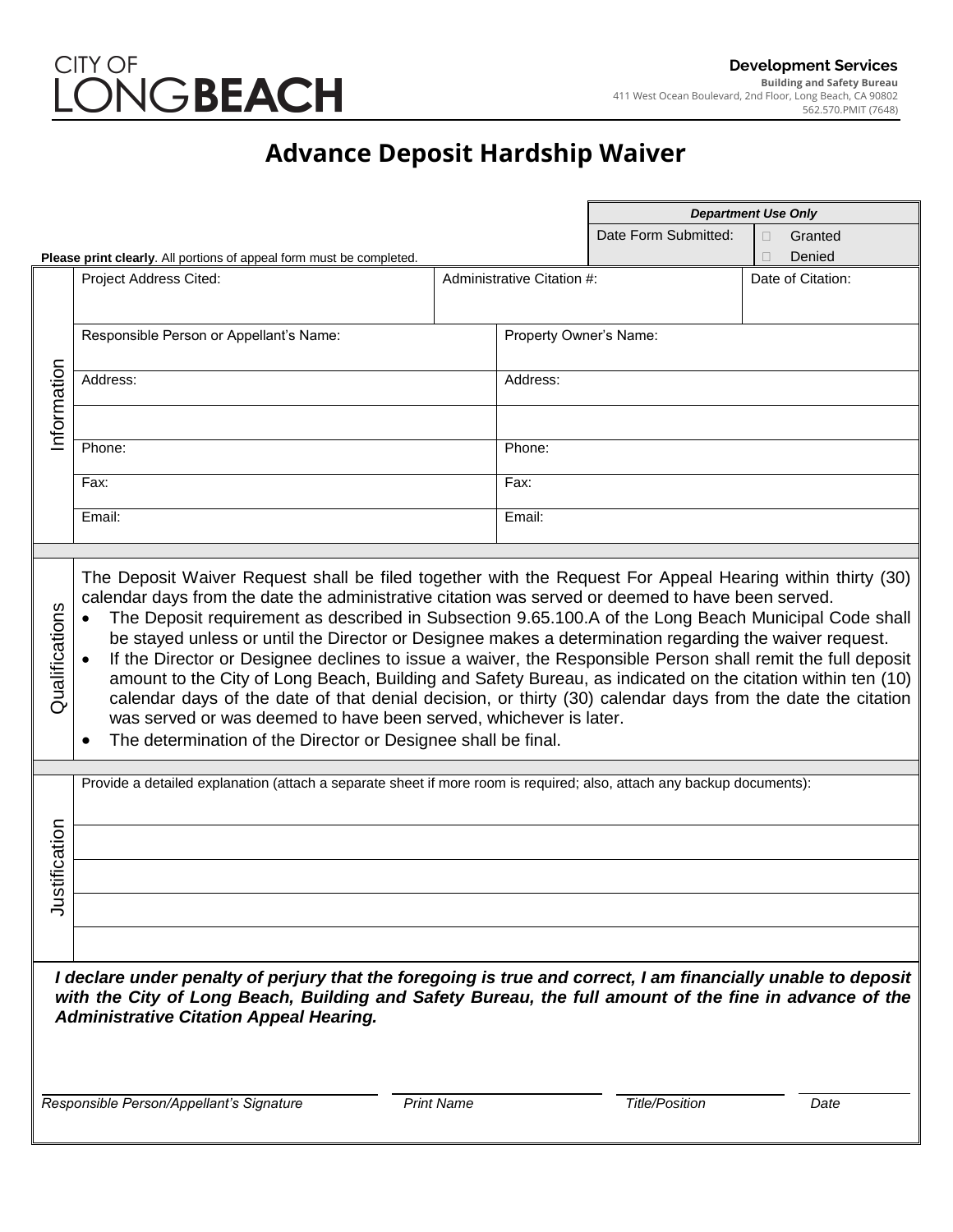

## **Advance Deposit Hardship Waiver**

|                                                                                                                                                                                                                                                                                                                                                                             |                                                                                                                                                                                                                                                                                                                                                                                                                                                                                                                                                                                                                                                                                                                                                                                                                   |                            |                        | <b>Department Use Only</b> |                                       |
|-----------------------------------------------------------------------------------------------------------------------------------------------------------------------------------------------------------------------------------------------------------------------------------------------------------------------------------------------------------------------------|-------------------------------------------------------------------------------------------------------------------------------------------------------------------------------------------------------------------------------------------------------------------------------------------------------------------------------------------------------------------------------------------------------------------------------------------------------------------------------------------------------------------------------------------------------------------------------------------------------------------------------------------------------------------------------------------------------------------------------------------------------------------------------------------------------------------|----------------------------|------------------------|----------------------------|---------------------------------------|
| Please print clearly. All portions of appeal form must be completed.                                                                                                                                                                                                                                                                                                        |                                                                                                                                                                                                                                                                                                                                                                                                                                                                                                                                                                                                                                                                                                                                                                                                                   |                            |                        | Date Form Submitted:       | Granted<br>$\Box$<br>Denied<br>$\Box$ |
|                                                                                                                                                                                                                                                                                                                                                                             | Project Address Cited:                                                                                                                                                                                                                                                                                                                                                                                                                                                                                                                                                                                                                                                                                                                                                                                            | Administrative Citation #: |                        |                            | Date of Citation:                     |
| Information                                                                                                                                                                                                                                                                                                                                                                 | Responsible Person or Appellant's Name:                                                                                                                                                                                                                                                                                                                                                                                                                                                                                                                                                                                                                                                                                                                                                                           |                            | Property Owner's Name: |                            |                                       |
|                                                                                                                                                                                                                                                                                                                                                                             | Address:                                                                                                                                                                                                                                                                                                                                                                                                                                                                                                                                                                                                                                                                                                                                                                                                          |                            | Address:               |                            |                                       |
|                                                                                                                                                                                                                                                                                                                                                                             |                                                                                                                                                                                                                                                                                                                                                                                                                                                                                                                                                                                                                                                                                                                                                                                                                   |                            |                        |                            |                                       |
|                                                                                                                                                                                                                                                                                                                                                                             | Phone:                                                                                                                                                                                                                                                                                                                                                                                                                                                                                                                                                                                                                                                                                                                                                                                                            |                            | Phone:                 |                            |                                       |
|                                                                                                                                                                                                                                                                                                                                                                             | Fax:                                                                                                                                                                                                                                                                                                                                                                                                                                                                                                                                                                                                                                                                                                                                                                                                              |                            | Fax:                   |                            |                                       |
|                                                                                                                                                                                                                                                                                                                                                                             | Email:                                                                                                                                                                                                                                                                                                                                                                                                                                                                                                                                                                                                                                                                                                                                                                                                            |                            | Email:                 |                            |                                       |
|                                                                                                                                                                                                                                                                                                                                                                             |                                                                                                                                                                                                                                                                                                                                                                                                                                                                                                                                                                                                                                                                                                                                                                                                                   |                            |                        |                            |                                       |
| Qualifications                                                                                                                                                                                                                                                                                                                                                              | calendar days from the date the administrative citation was served or deemed to have been served.<br>The Deposit requirement as described in Subsection 9.65.100.A of the Long Beach Municipal Code shall<br>be stayed unless or until the Director or Designee makes a determination regarding the waiver request.<br>If the Director or Designee declines to issue a waiver, the Responsible Person shall remit the full deposit<br>amount to the City of Long Beach, Building and Safety Bureau, as indicated on the citation within ten (10)<br>calendar days of the date of that denial decision, or thirty (30) calendar days from the date the citation<br>was served or was deemed to have been served, whichever is later.<br>The determination of the Director or Designee shall be final.<br>$\bullet$ |                            |                        |                            |                                       |
|                                                                                                                                                                                                                                                                                                                                                                             | Provide a detailed explanation (attach a separate sheet if more room is required; also, attach any backup documents):                                                                                                                                                                                                                                                                                                                                                                                                                                                                                                                                                                                                                                                                                             |                            |                        |                            |                                       |
|                                                                                                                                                                                                                                                                                                                                                                             |                                                                                                                                                                                                                                                                                                                                                                                                                                                                                                                                                                                                                                                                                                                                                                                                                   |                            |                        |                            |                                       |
|                                                                                                                                                                                                                                                                                                                                                                             |                                                                                                                                                                                                                                                                                                                                                                                                                                                                                                                                                                                                                                                                                                                                                                                                                   |                            |                        |                            |                                       |
| stification                                                                                                                                                                                                                                                                                                                                                                 |                                                                                                                                                                                                                                                                                                                                                                                                                                                                                                                                                                                                                                                                                                                                                                                                                   |                            |                        |                            |                                       |
| ⊰                                                                                                                                                                                                                                                                                                                                                                           |                                                                                                                                                                                                                                                                                                                                                                                                                                                                                                                                                                                                                                                                                                                                                                                                                   |                            |                        |                            |                                       |
|                                                                                                                                                                                                                                                                                                                                                                             |                                                                                                                                                                                                                                                                                                                                                                                                                                                                                                                                                                                                                                                                                                                                                                                                                   |                            |                        |                            |                                       |
| I declare under penalty of perjury that the foregoing is true and correct, I am financially unable to deposit<br>with the City of Long Beach, Building and Safety Bureau, the full amount of the fine in advance of the<br><b>Administrative Citation Appeal Hearing.</b><br>Responsible Person/Appellant's Signature<br><b>Print Name</b><br><b>Title/Position</b><br>Date |                                                                                                                                                                                                                                                                                                                                                                                                                                                                                                                                                                                                                                                                                                                                                                                                                   |                            |                        |                            |                                       |
|                                                                                                                                                                                                                                                                                                                                                                             |                                                                                                                                                                                                                                                                                                                                                                                                                                                                                                                                                                                                                                                                                                                                                                                                                   |                            |                        |                            |                                       |